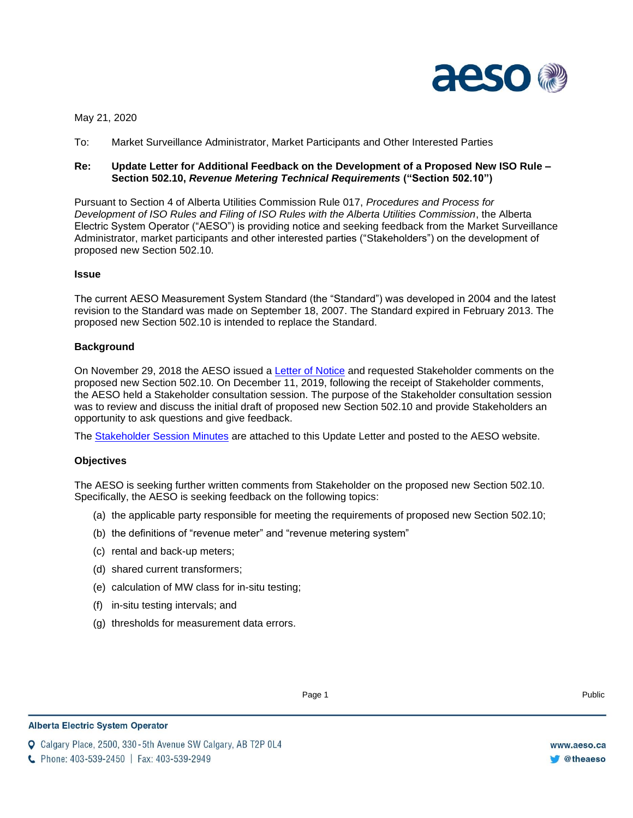

May 21, 2020

To: Market Surveillance Administrator, Market Participants and Other Interested Parties

# **Re: Update Letter for Additional Feedback on the Development of a Proposed New ISO Rule – Section 502.10,** *Revenue Metering Technical Requirements* **("Section 502.10")**

Pursuant to Section 4 of Alberta Utilities Commission Rule 017, *Procedures and Process for Development of ISO Rules and Filing of ISO Rules with the Alberta Utilities Commission*, the Alberta Electric System Operator ("AESO") is providing notice and seeking feedback from the Market Surveillance Administrator, market participants and other interested parties ("Stakeholders") on the development of proposed new Section 502.10.

### **Issue**

The current AESO Measurement System Standard (the "Standard") was developed in 2004 and the latest revision to the Standard was made on September 18, 2007. The Standard expired in February 2013. The proposed new Section 502.10 is intended to replace the Standard.

### **Background**

On November 29, 2018 the AESO issued a [Letter of Notice](https://www.aeso.ca/assets/Uploads/Letter-of-Notice-for-Development-of-Rule-502.10-Stage-1.pdf) and requested Stakeholder comments on the proposed new Section 502.10. On December 11, 2019, following the receipt of Stakeholder comments, the AESO held a Stakeholder consultation session. The purpose of the Stakeholder consultation session was to review and discuss the initial draft of proposed new Section 502.10 and provide Stakeholders an opportunity to ask questions and give feedback.

The [Stakeholder Session Minutes](https://www.aeso.ca/assets/Uploads/December-11-2019-Stakeholder-Session-Minutes.pdf) are attached to this Update Letter and posted to the AESO website.

### **Objectives**

The AESO is seeking further written comments from Stakeholder on the proposed new Section 502.10. Specifically, the AESO is seeking feedback on the following topics:

- (a) the applicable party responsible for meeting the requirements of proposed new Section 502.10;
- (b) the definitions of "revenue meter" and "revenue metering system"
- (c) rental and back-up meters;
- (d) shared current transformers;
- (e) calculation of MW class for in-situ testing;
- (f) in-situ testing intervals; and
- (g) thresholds for measurement data errors.

**Q** Calgary Place, 2500, 330-5th Avenue SW Calgary, AB T2P 0L4

C Phone: 403-539-2450 | Fax: 403-539-2949